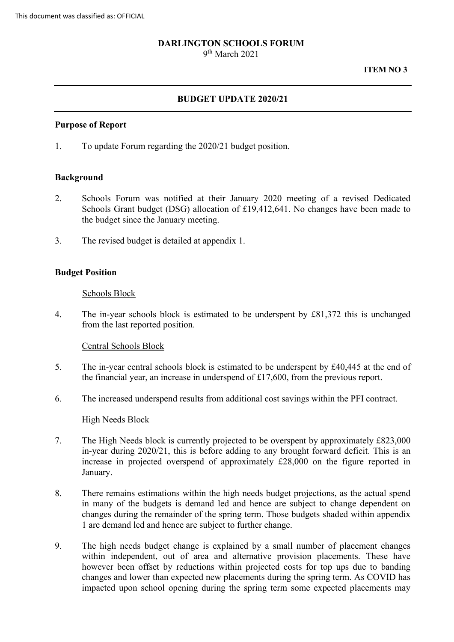## **DARLINGTON SCHOOLS FORUM**

9th March 2021

#### **ITEM NO 3**

## **BUDGET UPDATE 2020/21**

#### **Purpose of Report**

1. To update Forum regarding the 2020/21 budget position.

#### **Background**

- 2. Schools Forum was notified at their January 2020 meeting of a revised Dedicated Schools Grant budget (DSG) allocation of £19,412,641. No changes have been made to the budget since the January meeting.
- 3. The revised budget is detailed at appendix 1.

#### **Budget Position**

#### Schools Block

4. The in-year schools block is estimated to be underspent by £81,372 this is unchanged from the last reported position.

Central Schools Block

- 5. The in-year central schools block is estimated to be underspent by £40,445 at the end of the financial year, an increase in underspend of £17,600, from the previous report.
- 6. The increased underspend results from additional cost savings within the PFI contract.

## High Needs Block

- 7. The High Needs block is currently projected to be overspent by approximately £823,000 in-year during 2020/21, this is before adding to any brought forward deficit. This is an increase in projected overspend of approximately £28,000 on the figure reported in January.
- in many of the budgets is demand led and hence are subject to change dependent on changes during the remainder of the spring term. Those budgets shaded within appendix 8. There remains estimations within the high needs budget projections, as the actual spend 1 are demand led and hence are subject to further change.
- 9. The high needs budget change is explained by a small number of placement changes within independent, out of area and alternative provision placements. These have however been offset by reductions within projected costs for top ups due to banding changes and lower than expected new placements during the spring term. As COVID has impacted upon school opening during the spring term some expected placements may